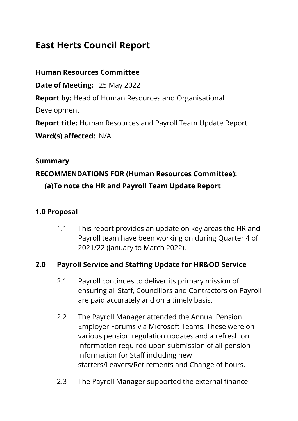# **East Herts Council Report**

**Human Resources Committee**

**Date of Meeting:** 25 May 2022

**Report by:** Head of Human Resources and Organisational

Development

**Report title:** Human Resources and Payroll Team Update Report

**Ward(s) affected:** N/A

#### **Summary**

# **RECOMMENDATIONS FOR (Human Resources Committee): (a)To note the HR and Payroll Team Update Report**

# **1.0 Proposal**

1.1 This report provides an update on key areas the HR and Payroll team have been working on during Quarter 4 of 2021/22 (January to March 2022).

# **2.0 Payroll Service and Staffing Update for HR&OD Service**

- 2.1 Payroll continues to deliver its primary mission of ensuring all Staff, Councillors and Contractors on Payroll are paid accurately and on a timely basis.
- 2.2 The Payroll Manager attended the Annual Pension Employer Forums via Microsoft Teams. These were on various pension regulation updates and a refresh on information required upon submission of all pension information for Staff including new starters/Leavers/Retirements and Change of hours.
- 2.3 The Payroll Manager supported the external finance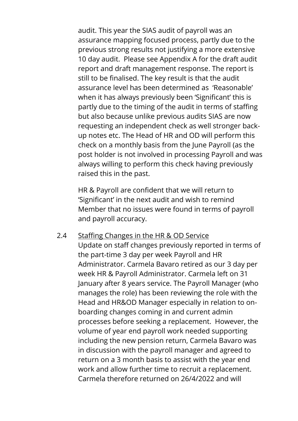audit. This year the SIAS audit of payroll was an assurance mapping focused process, partly due to the previous strong results not justifying a more extensive 10 day audit. Please see Appendix A for the draft audit report and draft management response. The report is still to be finalised. The key result is that the audit assurance level has been determined as 'Reasonable' when it has always previously been 'Significant' this is partly due to the timing of the audit in terms of staffing but also because unlike previous audits SIAS are now requesting an independent check as well stronger backup notes etc. The Head of HR and OD will perform this check on a monthly basis from the June Payroll (as the post holder is not involved in processing Payroll and was always willing to perform this check having previously raised this in the past.

HR & Payroll are confident that we will return to 'Significant' in the next audit and wish to remind Member that no issues were found in terms of payroll and payroll accuracy.

2.4 Staffing Changes in the HR & OD Service Update on staff changes previously reported in terms of the part-time 3 day per week Payroll and HR Administrator. Carmela Bavaro retired as our 3 day per week HR & Payroll Administrator. Carmela left on 31 January after 8 years service. The Payroll Manager (who manages the role) has been reviewing the role with the Head and HR&OD Manager especially in relation to onboarding changes coming in and current admin processes before seeking a replacement. However, the volume of year end payroll work needed supporting including the new pension return, Carmela Bavaro was in discussion with the payroll manager and agreed to return on a 3 month basis to assist with the year end work and allow further time to recruit a replacement. Carmela therefore returned on 26/4/2022 and will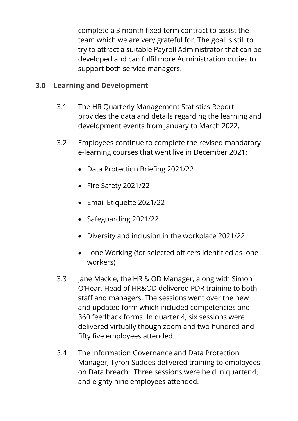complete a 3 month fixed term contract to assist the team which we are very grateful for. The goal is still to try to attract a suitable Payroll Administrator that can be developed and can fulfil more Administration duties to support both service managers.

# **3.0 Learning and Development**

- 3.1 The HR Quarterly Management Statistics Report provides the data and details regarding the learning and development events from January to March 2022.
- 3.2 Employees continue to complete the revised mandatory e-learning courses that went live in December 2021:
	- Data Protection Briefing 2021/22
	- Fire Safety 2021/22
	- Email Etiquette 2021/22
	- Safeguarding 2021/22
	- Diversity and inclusion in the workplace 2021/22
	- Lone Working (for selected officers identified as lone workers)
- 3.3 Jane Mackie, the HR & OD Manager, along with Simon O'Hear, Head of HR&OD delivered PDR training to both staff and managers. The sessions went over the new and updated form which included competencies and 360 feedback forms. In quarter 4, six sessions were delivered virtually though zoom and two hundred and fifty five employees attended.
- 3.4 The Information Governance and Data Protection Manager, Tyron Suddes delivered training to employees on Data breach. Three sessions were held in quarter 4, and eighty nine employees attended.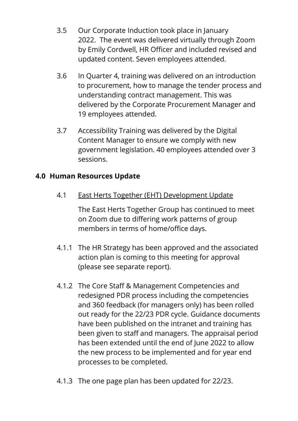- 3.5 Our Corporate Induction took place in January 2022. The event was delivered virtually through Zoom by Emily Cordwell, HR Officer and included revised and updated content. Seven employees attended.
- 3.6 In Quarter 4, training was delivered on an introduction to procurement, how to manage the tender process and understanding contract management. This was delivered by the Corporate Procurement Manager and 19 employees attended.
- 3.7 Accessibility Training was delivered by the Digital Content Manager to ensure we comply with new government legislation. 40 employees attended over 3 sessions.

# **4.0 Human Resources Update**

4.1 East Herts Together (EHT) Development Update

The East Herts Together Group has continued to meet on Zoom due to differing work patterns of group members in terms of home/office days.

- 4.1.1 The HR Strategy has been approved and the associated action plan is coming to this meeting for approval (please see separate report).
- 4.1.2 The Core Staff & Management Competencies and redesigned PDR process including the competencies and 360 feedback (for managers only) has been rolled out ready for the 22/23 PDR cycle. Guidance documents have been published on the intranet and training has been given to staff and managers. The appraisal period has been extended until the end of June 2022 to allow the new process to be implemented and for year end processes to be completed.
- 4.1.3 The one page plan has been updated for 22/23.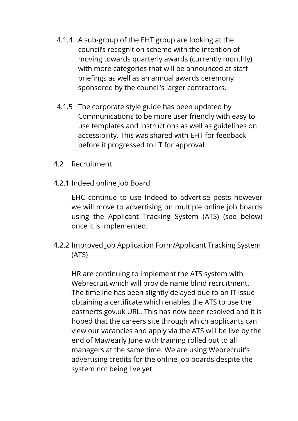- 4.1.4 A sub-group of the EHT group are looking at the council's recognition scheme with the intention of moving towards quarterly awards (currently monthly) with more categories that will be announced at staff briefings as well as an annual awards ceremony sponsored by the council's larger contractors.
- 4.1.5 The corporate style guide has been updated by Communications to be more user friendly with easy to use templates and instructions as well as guidelines on accessibility. This was shared with EHT for feedback before it progressed to LT for approval.
- 4.2 Recruitment
- 4.2.1 Indeed online Job Board

EHC continue to use Indeed to advertise posts however we will move to advertising on multiple online job boards using the Applicant Tracking System (ATS) (see below) once it is implemented.

4.2.2 Improved Job Application Form/Applicant Tracking System (ATS)

HR are continuing to implement the ATS system with Webrecruit which will provide name blind recruitment. The timeline has been slightly delayed due to an IT issue obtaining a certificate which enables the ATS to use the eastherts.gov.uk URL. This has now been resolved and it is hoped that the careers site through which applicants can view our vacancies and apply via the ATS will be live by the end of May/early June with training rolled out to all managers at the same time. We are using Webrecruit's advertising credits for the online job boards despite the system not being live yet.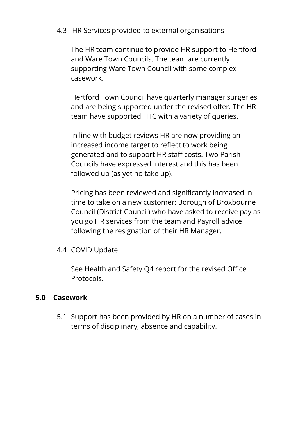#### 4.3 HR Services provided to external organisations

The HR team continue to provide HR support to Hertford and Ware Town Councils. The team are currently supporting Ware Town Council with some complex casework.

Hertford Town Council have quarterly manager surgeries and are being supported under the revised offer. The HR team have supported HTC with a variety of queries.

In line with budget reviews HR are now providing an increased income target to reflect to work being generated and to support HR staff costs. Two Parish Councils have expressed interest and this has been followed up (as yet no take up).

Pricing has been reviewed and significantly increased in time to take on a new customer: Borough of Broxbourne Council (District Council) who have asked to receive pay as you go HR services from the team and Payroll advice following the resignation of their HR Manager.

4.4 COVID Update

See Health and Safety Q4 report for the revised Office Protocols.

#### **5.0 Casework**

5.1 Support has been provided by HR on a number of cases in terms of disciplinary, absence and capability.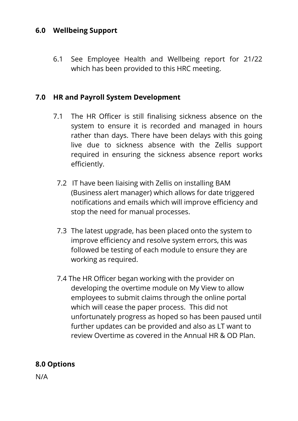### **6.0 Wellbeing Support**

6.1 See Employee Health and Wellbeing report for 21/22 which has been provided to this HRC meeting.

#### **7.0 HR and Payroll System Development**

- 7.1 The HR Officer is still finalising sickness absence on the system to ensure it is recorded and managed in hours rather than days. There have been delays with this going live due to sickness absence with the Zellis support required in ensuring the sickness absence report works efficiently.
	- 7.2 IT have been liaising with Zellis on installing BAM (Business alert manager) which allows for date triggered notifications and emails which will improve efficiency and stop the need for manual processes.
	- 7.3 The latest upgrade, has been placed onto the system to improve efficiency and resolve system errors, this was followed be testing of each module to ensure they are working as required.
	- 7.4 The HR Officer began working with the provider on developing the overtime module on My View to allow employees to submit claims through the online portal which will cease the paper process. This did not unfortunately progress as hoped so has been paused until further updates can be provided and also as LT want to review Overtime as covered in the Annual HR & OD Plan.

# **8.0 Options**

N/A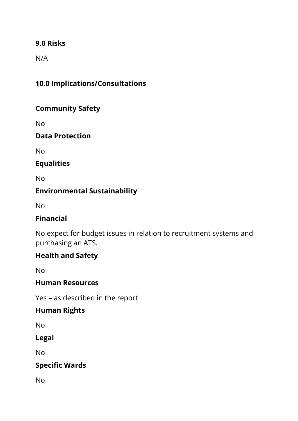### **9.0 Risks**

N/A

# **10.0 Implications/Consultations**

# **Community Safety**

No

#### **Data Protection**

No

# **Equalities**

No

# **Environmental Sustainability**

No

# **Financial**

No expect for budget issues in relation to recruitment systems and purchasing an ATS.

# **Health and Safety**

No

# **Human Resources**

Yes – as described in the report

# **Human Rights**

No

#### **Legal**

No

# **Specific Wards**

No